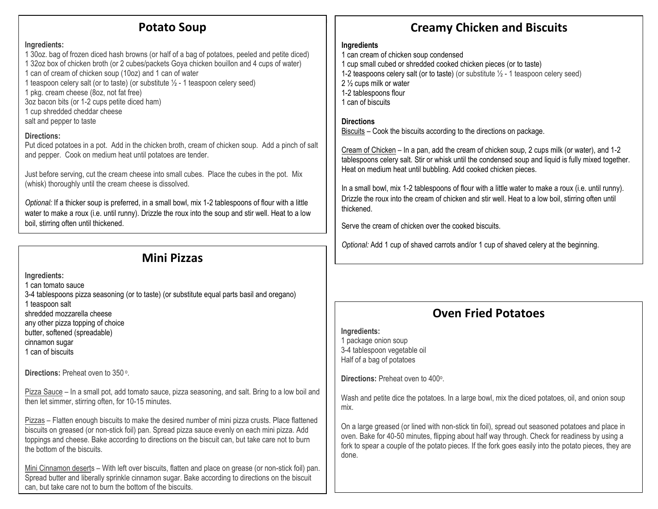### **Potato Soup**

#### **Ingredients:**

- 1 30oz. bag of frozen diced hash browns (or half of a bag of potatoes, peeled and petite diced) 1 32oz box of chicken broth (or 2 cubes/packets Goya chicken bouillon and 4 cups of water) 1 can of cream of chicken soup (10oz) and 1 can of water
- 1 teaspoon celery salt (or to taste) (or substitute  $\frac{1}{2}$  1 teaspoon celery seed)
- 1 pkg. cream cheese (8oz, not fat free)
- 3oz bacon bits (or 1-2 cups petite diced ham)
- 1 cup shredded cheddar cheese
- salt and pepper to taste

### **Directions:**

Put diced potatoes in a pot. Add in the chicken broth, cream of chicken soup. Add a pinch of salt and pepper. Cook on medium heat until potatoes are tender.

Just before serving, cut the cream cheese into small cubes. Place the cubes in the pot. Mix (whisk) thoroughly until the cream cheese is dissolved.

*Optional:* If a thicker soup is preferred, in a small bowl, mix 1-2 tablespoons of flour with a little water to make a roux (i.e. until runny). Drizzle the roux into the soup and stir well. Heat to a low boil, stirring often until thickened.

## **Mini Pizzas**

**Ingredients:**

- 1 can tomato sauce
- 3-4 tablespoons pizza seasoning (or to taste) (or substitute equal parts basil and oregano) 1 teaspoon salt
- shredded mozzarella cheese
- any other pizza topping of choice
- butter, softened (spreadable)
- cinnamon sugar 1 can of biscuits

Directions: Preheat oven to 350<sup>o</sup>.

Pizza Sauce – In a small pot, add tomato sauce, pizza seasoning, and salt. Bring to a low boil and then let simmer, stirring often, for 10-15 minutes.

Pizzas – Flatten enough biscuits to make the desired number of mini pizza crusts. Place flattened biscuits on greased (or non-stick foil) pan. Spread pizza sauce evenly on each mini pizza. Add toppings and cheese. Bake according to directions on the biscuit can, but take care not to burn the bottom of the biscuits.

Mini Cinnamon deserts – With left over biscuits, flatten and place on grease (or non-stick foil) pan. Spread butter and liberally sprinkle cinnamon sugar. Bake according to directions on the biscuit can, but take care not to burn the bottom of the biscuits.

# **Creamy Chicken and Biscuits**

### **Ingredients**

- 1 can cream of chicken soup condensed
- 1 cup small cubed or shredded cooked chicken pieces (or to taste)
- 1-2 teaspoons celery salt (or to taste) (or substitute  $\frac{1}{2}$  1 teaspoon celery seed)
- 2 ½ cups milk or water
- 1-2 tablespoons flour
- 1 can of biscuits

### **Directions**

Biscuits – Cook the biscuits according to the directions on package.

Cream of Chicken – In a pan, add the cream of chicken soup, 2 cups milk (or water), and 1-2 tablespoons celery salt. Stir or whisk until the condensed soup and liquid is fully mixed together. Heat on medium heat until bubbling. Add cooked chicken pieces.

In a small bowl, mix 1-2 tablespoons of flour with a little water to make a roux (i.e. until runny). Drizzle the roux into the cream of chicken and stir well. Heat to a low boil, stirring often until thickened.

Serve the cream of chicken over the cooked biscuits.

*Optional:* Add 1 cup of shaved carrots and/or 1 cup of shaved celery at the beginning.

## **Oven Fried Potatoes**

**Ingredients:** 1 package onion soup 3-4 tablespoon vegetable oil Half of a bag of potatoes

**Directions: Preheat oven to 400°.** 

Wash and petite dice the potatoes. In a large bowl, mix the diced potatoes, oil, and onion soup mix.

On a large greased (or lined with non-stick tin foil), spread out seasoned potatoes and place in oven. Bake for 40-50 minutes, flipping about half way through. Check for readiness by using a fork to spear a couple of the potato pieces. If the fork goes easily into the potato pieces, they are done.